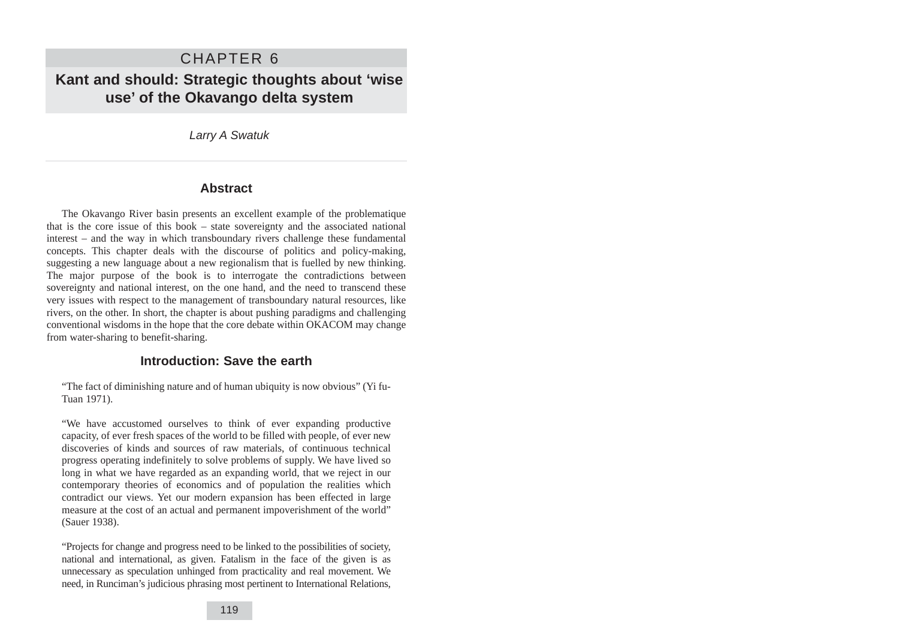# CHAPTER 6 **Kant and should: Strategic thoughts about 'wise use' of the Okavango delta system**

Larry A Swatuk

## **Abstract**

The Okavango River basin presents an excellent example of the problematique that is the core issue of this book – state sovereignty and the associated national interest – and the way in which transboundary rivers challenge these fundamental concepts. This chapter deals with the discourse of politics and policy-making, suggesting a new language about a new regionalism that is fuelled by new thinking. The major purpose of the book is to interrogate the contradictions between sovereignty and national interest, on the one hand, and the need to transcend these very issues with respect to the management of transboundary natural resources, like rivers, on the other. In short, the chapter is about pushing paradigms and challenging conventional wisdoms in the hope that the core debate within OKACOM may change from water-sharing to benefit-sharing.

## **Introduction: Save the earth**

"The fact of diminishing nature and of human ubiquity is now obvious" (Yi fu-Tuan 1971).

"We have accustomed ourselves to think of ever expanding productive capacity, of ever fresh spaces of the world to be filled with people, of ever new discoveries of kinds and sources of raw materials, of continuous technical progress operating indefinitely to solve problems of supply. We have lived so long in what we have regarded as an expanding world, that we reject in our contemporary theories of economics and of population the realities which contradict our views. Yet our modern expansion has been effected in large measure at the cost of an actual and permanent impoverishment of the world" (Sauer 1938).

"Projects for change and progress need to be linked to the possibilities of society, national and international, as given. Fatalism in the face of the given is as unnecessary as speculation unhinged from practicality and real movement. We need, in Runciman's judicious phrasing most pertinent to International Relations,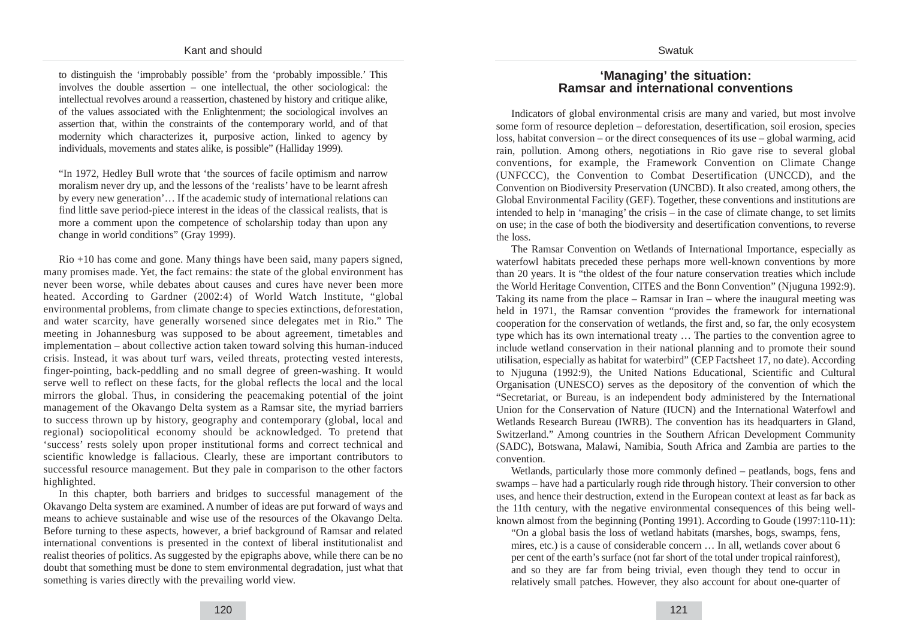to distinguish the 'improbably possible' from the 'probably impossible.' This involves the double assertion – one intellectual, the other sociological: the intellectual revolves around a reassertion, chastened by history and critique alike, of the values associated with the Enlightenment; the sociological involves an assertion that, within the constraints of the contemporary world, and of that modernity which characterizes it, purposive action, linked to agency by individuals, movements and states alike, is possible" (Halliday 1999).

"In 1972, Hedley Bull wrote that 'the sources of facile optimism and narrow moralism never dry up, and the lessons of the 'realists' have to be learnt afresh by every new generation'… If the academic study of international relations can find little save period-piece interest in the ideas of the classical realists, that is more a comment upon the competence of scholarship today than upon any change in world conditions" (Gray 1999).

Rio +10 has come and gone. Many things have been said, many papers signed, many promises made. Yet, the fact remains: the state of the global environment has never been worse, while debates about causes and cures have never been more heated. According to Gardner (2002:4) of World Watch Institute, "global environmental problems, from climate change to species extinctions, deforestation, and water scarcity, have generally worsened since delegates met in Rio." The meeting in Johannesburg was supposed to be about agreement, timetables and implementation – about collective action taken toward solving this human-induced crisis. Instead, it was about turf wars, veiled threats, protecting vested interests, finger-pointing, back-peddling and no small degree of green-washing. It would serve well to reflect on these facts, for the global reflects the local and the local mirrors the global. Thus, in considering the peacemaking potential of the joint management of the Okavango Delta system as a Ramsar site, the myriad barriers to success thrown up by history, geography and contemporary (global, local and regional) sociopolitical economy should be acknowledged. To pretend that 'success' rests solely upon proper institutional forms and correct technical and scientific knowledge is fallacious. Clearly, these are important contributors to successful resource management. But they pale in comparison to the other factors highlighted.

In this chapter, both barriers and bridges to successful management of the Okavango Delta system are examined. A number of ideas are put forward of ways and means to achieve sustainable and wise use of the resources of the Okavango Delta. Before turning to these aspects, however, a brief background of Ramsar and related international conventions is presented in the context of liberal institutionalist and realist theories of politics. As suggested by the epigraphs above, while there can be no doubt that something must be done to stem environmental degradation, just what that something is varies directly with the prevailing world view.

#### **'Managing' the situation: Ramsar and international conventions**

Swatuk

Indicators of global environmental crisis are many and varied, but most involve some form of resource depletion – deforestation, desertification, soil erosion, species loss, habitat conversion – or the direct consequences of its use – global warming, acid rain, pollution. Among others, negotiations in Rio gave rise to several global conventions, for example, the Framework Convention on Climate Change (UNFCCC), the Convention to Combat Desertification (UNCCD), and the Convention on Biodiversity Preservation (UNCBD). It also created, among others, the Global Environmental Facility (GEF). Together, these conventions and institutions are intended to help in 'managing' the crisis – in the case of climate change, to set limits on use; in the case of both the biodiversity and desertification conventions, to reverse the loss.

The Ramsar Convention on Wetlands of International Importance, especially as waterfowl habitats preceded these perhaps more well-known conventions by more than 20 years. It is "the oldest of the four nature conservation treaties which include the World Heritage Convention, CITES and the Bonn Convention" (Njuguna 1992:9). Taking its name from the place – Ramsar in Iran – where the inaugural meeting was held in 1971, the Ramsar convention "provides the framework for international cooperation for the conservation of wetlands, the first and, so far, the only ecosystem type which has its own international treaty … The parties to the convention agree to include wetland conservation in their national planning and to promote their sound utilisation, especially as habitat for waterbird" (CEP Factsheet 17, no date). According to Njuguna (1992:9), the United Nations Educational, Scientific and Cultural Organisation (UNESCO) serves as the depository of the convention of which the "Secretariat, or Bureau, is an independent body administered by the International Union for the Conservation of Nature (IUCN) and the International Waterfowl and Wetlands Research Bureau (IWRB). The convention has its headquarters in Gland, Switzerland." Among countries in the Southern African Development Community (SADC), Botswana, Malawi, Namibia, South Africa and Zambia are parties to the convention.

Wetlands, particularly those more commonly defined – peatlands, bogs, fens and swamps – have had a particularly rough ride through history. Their conversion to other uses, and hence their destruction, extend in the European context at least as far back as the 11th century, with the negative environmental consequences of this being wellknown almost from the beginning (Ponting 1991). According to Goude (1997:110-11):

"On a global basis the loss of wetland habitats (marshes, bogs, swamps, fens, mires, etc.) is a cause of considerable concern … In all, wetlands cover about 6 per cent of the earth's surface (not far short of the total under tropical rainforest), and so they are far from being trivial, even though they tend to occur in relatively small patches. However, they also account for about one-quarter of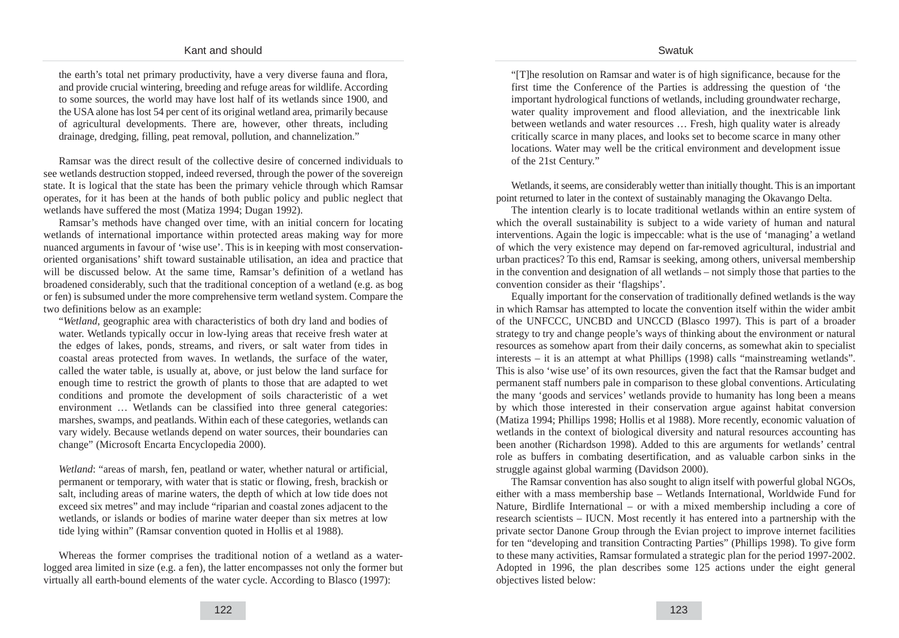#### Swatuk

the earth's total net primary productivity, have a very diverse fauna and flora, and provide crucial wintering, breeding and refuge areas for wildlife. According to some sources, the world may have lost half of its wetlands since 1900, and the USA alone has lost 54 per cent of its original wetland area, primarily because of agricultural developments. There are, however, other threats, including drainage, dredging, filling, peat removal, pollution, and channelization."

Ramsar was the direct result of the collective desire of concerned individuals to see wetlands destruction stopped, indeed reversed, through the power of the sovereign state. It is logical that the state has been the primary vehicle through which Ramsar operates, for it has been at the hands of both public policy and public neglect that wetlands have suffered the most (Matiza 1994; Dugan 1992).

Ramsar's methods have changed over time, with an initial concern for locating wetlands of international importance within protected areas making way for more nuanced arguments in favour of 'wise use'. This is in keeping with most conservationoriented organisations' shift toward sustainable utilisation, an idea and practice that will be discussed below. At the same time, Ramsar's definition of a wetland has broadened considerably, such that the traditional conception of a wetland (e.g. as bog or fen) is subsumed under the more comprehensive term wetland system. Compare the two definitions below as an example:

"*Wetland*, geographic area with characteristics of both dry land and bodies of water. Wetlands typically occur in low-lying areas that receive fresh water at the edges of lakes, ponds, streams, and rivers, or salt water from tides in coastal areas protected from waves. In wetlands, the surface of the water, called the water table, is usually at, above, or just below the land surface for enough time to restrict the growth of plants to those that are adapted to wet conditions and promote the development of soils characteristic of a wet environment … Wetlands can be classified into three general categories: marshes, swamps, and peatlands. Within each of these categories, wetlands can vary widely. Because wetlands depend on water sources, their boundaries can change" (Microsoft Encarta Encyclopedia 2000).

*Wetland*: "areas of marsh, fen, peatland or water, whether natural or artificial, permanent or temporary, with water that is static or flowing, fresh, brackish or salt, including areas of marine waters, the depth of which at low tide does not exceed six metres" and may include "riparian and coastal zones adjacent to the wetlands, or islands or bodies of marine water deeper than six metres at low tide lying within" (Ramsar convention quoted in Hollis et al 1988).

Whereas the former comprises the traditional notion of a wetland as a waterlogged area limited in size (e.g. a fen), the latter encompasses not only the former but virtually all earth-bound elements of the water cycle. According to Blasco (1997):

"[T]he resolution on Ramsar and water is of high significance, because for the first time the Conference of the Parties is addressing the question of 'the important hydrological functions of wetlands, including groundwater recharge, water quality improvement and flood alleviation, and the inextricable link between wetlands and water resources … Fresh, high quality water is already critically scarce in many places, and looks set to become scarce in many other locations. Water may well be the critical environment and development issue of the 21st Century."

Wetlands, it seems, are considerably wetter than initially thought. This is an important point returned to later in the context of sustainably managing the Okavango Delta.

The intention clearly is to locate traditional wetlands within an entire system of which the overall sustainability is subject to a wide variety of human and natural interventions. Again the logic is impeccable: what is the use of 'managing' a wetland of which the very existence may depend on far-removed agricultural, industrial and urban practices? To this end, Ramsar is seeking, among others, universal membership in the convention and designation of all wetlands – not simply those that parties to the convention consider as their 'flagships'.

Equally important for the conservation of traditionally defined wetlands is the way in which Ramsar has attempted to locate the convention itself within the wider ambit of the UNFCCC, UNCBD and UNCCD (Blasco 1997). This is part of a broader strategy to try and change people's ways of thinking about the environment or natural resources as somehow apart from their daily concerns, as somewhat akin to specialist interests – it is an attempt at what Phillips (1998) calls "mainstreaming wetlands". This is also 'wise use' of its own resources, given the fact that the Ramsar budget and permanent staff numbers pale in comparison to these global conventions. Articulating the many 'goods and services' wetlands provide to humanity has long been a means by which those interested in their conservation argue against habitat conversion (Matiza 1994; Phillips 1998; Hollis et al 1988). More recently, economic valuation of wetlands in the context of biological diversity and natural resources accounting has been another (Richardson 1998). Added to this are arguments for wetlands' central role as buffers in combating desertification, and as valuable carbon sinks in the struggle against global warming (Davidson 2000).

The Ramsar convention has also sought to align itself with powerful global NGOs, either with a mass membership base – Wetlands International, Worldwide Fund for Nature, Birdlife International – or with a mixed membership including a core of research scientists – IUCN. Most recently it has entered into a partnership with the private sector Danone Group through the Evian project to improve internet facilities for ten "developing and transition Contracting Parties" (Phillips 1998). To give form to these many activities, Ramsar formulated a strategic plan for the period 1997-2002. Adopted in 1996, the plan describes some 125 actions under the eight general objectives listed below: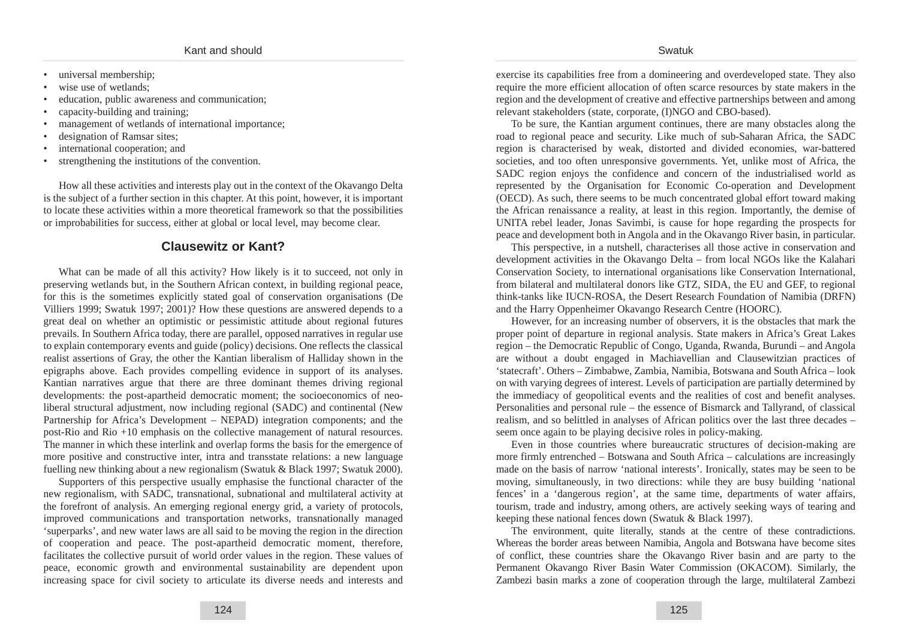- universal membership;
- wise use of wetlands:
- education, public awareness and communication;
- capacity-building and training;
- management of wetlands of international importance;
- designation of Ramsar sites;
- international cooperation; and
- strengthening the institutions of the convention.

How all these activities and interests play out in the context of the Okavango Delta is the subject of a further section in this chapter. At this point, however, it is important to locate these activities within a more theoretical framework so that the possibilities or improbabilities for success, either at global or local level, may become clear.

# **Clausewitz or Kant?**

What can be made of all this activity? How likely is it to succeed, not only in preserving wetlands but, in the Southern African context, in building regional peace, for this is the sometimes explicitly stated goal of conservation organisations (De Villiers 1999; Swatuk 1997; 2001)? How these questions are answered depends to a great deal on whether an optimistic or pessimistic attitude about regional futures prevails. In Southern Africa today, there are parallel, opposed narratives in regular use to explain contemporary events and guide (policy) decisions. One reflects the classical realist assertions of Gray, the other the Kantian liberalism of Halliday shown in the epigraphs above. Each provides compelling evidence in support of its analyses. Kantian narratives argue that there are three dominant themes driving regional developments: the post-apartheid democratic moment; the socioeconomics of neoliberal structural adjustment, now including regional (SADC) and continental (New Partnership for Africa's Development – NEPAD) integration components; and the post-Rio and Rio +10 emphasis on the collective management of natural resources. The manner in which these interlink and overlap forms the basis for the emergence of more positive and constructive inter, intra and transstate relations: a new language fuelling new thinking about a new regionalism (Swatuk & Black 1997; Swatuk 2000).

Supporters of this perspective usually emphasise the functional character of the new regionalism, with SADC, transnational, subnational and multilateral activity at the forefront of analysis. An emerging regional energy grid, a variety of protocols, improved communications and transportation networks, transnationally managed 'superparks', and new water laws are all said to be moving the region in the direction of cooperation and peace. The post-apartheid democratic moment, therefore, facilitates the collective pursuit of world order values in the region. These values of peace, economic growth and environmental sustainability are dependent upon increasing space for civil society to articulate its diverse needs and interests and exercise its capabilities free from a domineering and overdeveloped state. They also require the more efficient allocation of often scarce resources by state makers in the region and the development of creative and effective partnerships between and among relevant stakeholders (state, corporate, (I)NGO and CBO-based).

To be sure, the Kantian argument continues, there are many obstacles along the road to regional peace and security. Like much of sub-Saharan Africa, the SADC region is characterised by weak, distorted and divided economies, war-battered societies, and too often unresponsive governments. Yet, unlike most of Africa, the SADC region enjoys the confidence and concern of the industrialised world as represented by the Organisation for Economic Co-operation and Development (OECD). As such, there seems to be much concentrated global effort toward making the African renaissance a reality, at least in this region. Importantly, the demise of UNITA rebel leader, Jonas Savimbi, is cause for hope regarding the prospects for peace and development both in Angola and in the Okavango River basin, in particular.

This perspective, in a nutshell, characterises all those active in conservation and development activities in the Okavango Delta – from local NGOs like the Kalahari Conservation Society, to international organisations like Conservation International, from bilateral and multilateral donors like GTZ, SIDA, the EU and GEF, to regional think-tanks like IUCN-ROSA, the Desert Research Foundation of Namibia (DRFN) and the Harry Oppenheimer Okavango Research Centre (HOORC).

However, for an increasing number of observers, it is the obstacles that mark the proper point of departure in regional analysis. State makers in Africa's Great Lakes region – the Democratic Republic of Congo, Uganda, Rwanda, Burundi – and Angola are without a doubt engaged in Machiavellian and Clausewitzian practices of 'statecraft'. Others – Zimbabwe, Zambia, Namibia, Botswana and South Africa – look on with varying degrees of interest. Levels of participation are partially determined by the immediacy of geopolitical events and the realities of cost and benefit analyses. Personalities and personal rule – the essence of Bismarck and Tallyrand, of classical realism, and so belittled in analyses of African politics over the last three decades – seem once again to be playing decisive roles in policy-making.

Even in those countries where bureaucratic structures of decision-making are more firmly entrenched – Botswana and South Africa – calculations are increasingly made on the basis of narrow 'national interests'. Ironically, states may be seen to be moving, simultaneously, in two directions: while they are busy building 'national fences' in a 'dangerous region', at the same time, departments of water affairs, tourism, trade and industry, among others, are actively seeking ways of tearing and keeping these national fences down (Swatuk & Black 1997).

The environment, quite literally, stands at the centre of these contradictions. Whereas the border areas between Namibia, Angola and Botswana have become sites of conflict, these countries share the Okavango River basin and are party to the Permanent Okavango River Basin Water Commission (OKACOM). Similarly, the Zambezi basin marks a zone of cooperation through the large, multilateral Zambezi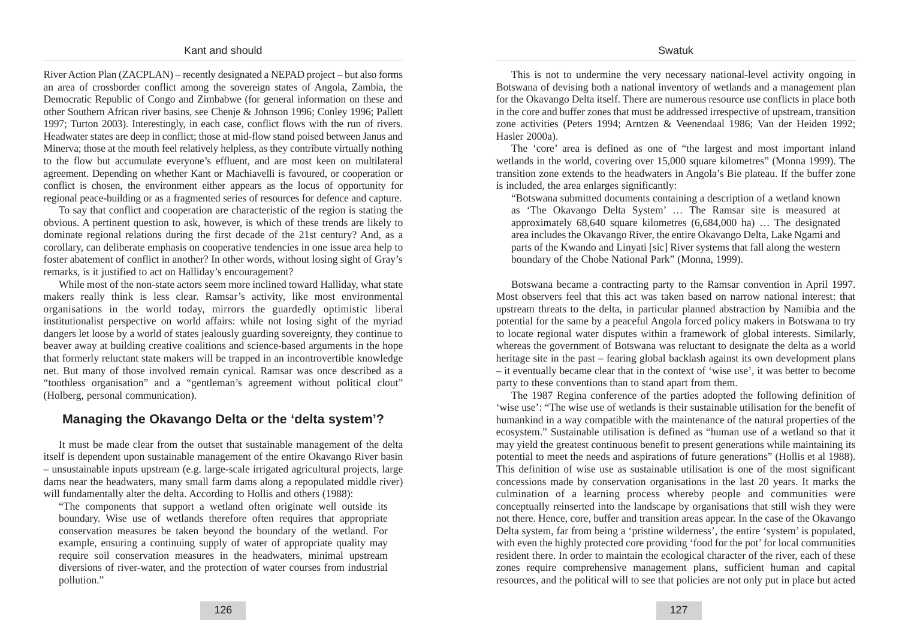River Action Plan (ZACPLAN) – recently designated a NEPAD project – but also forms an area of crossborder conflict among the sovereign states of Angola, Zambia, the Democratic Republic of Congo and Zimbabwe (for general information on these and other Southern African river basins, see Chenje & Johnson 1996; Conley 1996; Pallett 1997; Turton 2003). Interestingly, in each case, conflict flows with the run of rivers. Headwater states are deep in conflict; those at mid-flow stand poised between Janus and Minerva; those at the mouth feel relatively helpless, as they contribute virtually nothing to the flow but accumulate everyone's effluent, and are most keen on multilateral agreement. Depending on whether Kant or Machiavelli is favoured, or cooperation or conflict is chosen, the environment either appears as the locus of opportunity for regional peace-building or as a fragmented series of resources for defence and capture.

To say that conflict and cooperation are characteristic of the region is stating the obvious. A pertinent question to ask, however, is which of these trends are likely to dominate regional relations during the first decade of the 21st century? And, as a corollary, can deliberate emphasis on cooperative tendencies in one issue area help to foster abatement of conflict in another? In other words, without losing sight of Gray's remarks, is it justified to act on Halliday's encouragement?

While most of the non-state actors seem more inclined toward Halliday, what state makers really think is less clear. Ramsar's activity, like most environmental organisations in the world today, mirrors the guardedly optimistic liberal institutionalist perspective on world affairs: while not losing sight of the myriad dangers let loose by a world of states jealously guarding sovereignty, they continue to beaver away at building creative coalitions and science-based arguments in the hope that formerly reluctant state makers will be trapped in an incontrovertible knowledge net. But many of those involved remain cynical. Ramsar was once described as a "toothless organisation" and a "gentleman's agreement without political clout" (Holberg, personal communication).

## **Managing the Okavango Delta or the 'delta system'?**

It must be made clear from the outset that sustainable management of the delta itself is dependent upon sustainable management of the entire Okavango River basin – unsustainable inputs upstream (e.g. large-scale irrigated agricultural projects, large dams near the headwaters, many small farm dams along a repopulated middle river) will fundamentally alter the delta. According to Hollis and others (1988):

"The components that support a wetland often originate well outside its boundary. Wise use of wetlands therefore often requires that appropriate conservation measures be taken beyond the boundary of the wetland. For example, ensuring a continuing supply of water of appropriate quality may require soil conservation measures in the headwaters, minimal upstream diversions of river-water, and the protection of water courses from industrial pollution."

This is not to undermine the very necessary national-level activity ongoing in Botswana of devising both a national inventory of wetlands and a management plan for the Okavango Delta itself. There are numerous resource use conflicts in place both in the core and buffer zones that must be addressed irrespective of upstream, transition zone activities (Peters 1994; Arntzen & Veenendaal 1986; Van der Heiden 1992; Hasler 2000a).

The 'core' area is defined as one of "the largest and most important inland wetlands in the world, covering over 15,000 square kilometres" (Monna 1999). The transition zone extends to the headwaters in Angola's Bie plateau. If the buffer zone is included, the area enlarges significantly:

"Botswana submitted documents containing a description of a wetland known as 'The Okavango Delta System' … The Ramsar site is measured at approximately 68,640 square kilometres (6,684,000 ha) … The designated area includes the Okavango River, the entire Okavango Delta, Lake Ngami and parts of the Kwando and Linyati [sic] River systems that fall along the western boundary of the Chobe National Park" (Monna, 1999).

Botswana became a contracting party to the Ramsar convention in April 1997. Most observers feel that this act was taken based on narrow national interest: that upstream threats to the delta, in particular planned abstraction by Namibia and the potential for the same by a peaceful Angola forced policy makers in Botswana to try to locate regional water disputes within a framework of global interests. Similarly, whereas the government of Botswana was reluctant to designate the delta as a world heritage site in the past – fearing global backlash against its own development plans – it eventually became clear that in the context of 'wise use', it was better to become party to these conventions than to stand apart from them.

The 1987 Regina conference of the parties adopted the following definition of 'wise use': "The wise use of wetlands is their sustainable utilisation for the benefit of humankind in a way compatible with the maintenance of the natural properties of the ecosystem." Sustainable utilisation is defined as "human use of a wetland so that it may yield the greatest continuous benefit to present generations while maintaining its potential to meet the needs and aspirations of future generations" (Hollis et al 1988). This definition of wise use as sustainable utilisation is one of the most significant concessions made by conservation organisations in the last 20 years. It marks the culmination of a learning process whereby people and communities were conceptually reinserted into the landscape by organisations that still wish they were not there. Hence, core, buffer and transition areas appear. In the case of the Okavango Delta system, far from being a 'pristine wilderness', the entire 'system' is populated, with even the highly protected core providing 'food for the pot' for local communities resident there. In order to maintain the ecological character of the river, each of these zones require comprehensive management plans, sufficient human and capital resources, and the political will to see that policies are not only put in place but acted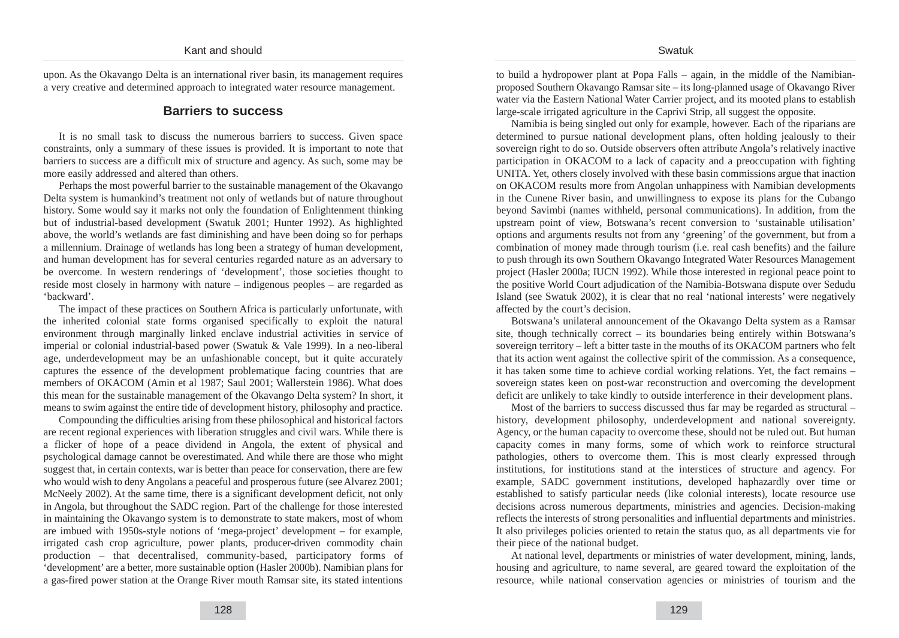upon. As the Okavango Delta is an international river basin, its management requires a very creative and determined approach to integrated water resource management.

#### **Barriers to success**

It is no small task to discuss the numerous barriers to success. Given space constraints, only a summary of these issues is provided. It is important to note that barriers to success are a difficult mix of structure and agency. As such, some may be more easily addressed and altered than others.

Perhaps the most powerful barrier to the sustainable management of the Okavango Delta system is humankind's treatment not only of wetlands but of nature throughout history. Some would say it marks not only the foundation of Enlightenment thinking but of industrial-based development (Swatuk 2001; Hunter 1992). As highlighted above, the world's wetlands are fast diminishing and have been doing so for perhaps a millennium. Drainage of wetlands has long been a strategy of human development, and human development has for several centuries regarded nature as an adversary to be overcome. In western renderings of 'development', those societies thought to reside most closely in harmony with nature – indigenous peoples – are regarded as 'backward'.

The impact of these practices on Southern Africa is particularly unfortunate, with the inherited colonial state forms organised specifically to exploit the natural environment through marginally linked enclave industrial activities in service of imperial or colonial industrial-based power (Swatuk & Vale 1999). In a neo-liberal age, underdevelopment may be an unfashionable concept, but it quite accurately captures the essence of the development problematique facing countries that are members of OKACOM (Amin et al 1987; Saul 2001; Wallerstein 1986). What does this mean for the sustainable management of the Okavango Delta system? In short, it means to swim against the entire tide of development history, philosophy and practice.

Compounding the difficulties arising from these philosophical and historical factors are recent regional experiences with liberation struggles and civil wars. While there is a flicker of hope of a peace dividend in Angola, the extent of physical and psychological damage cannot be overestimated. And while there are those who might suggest that, in certain contexts, war is better than peace for conservation, there are few who would wish to deny Angolans a peaceful and prosperous future (see Alvarez 2001; McNeely 2002). At the same time, there is a significant development deficit, not only in Angola, but throughout the SADC region. Part of the challenge for those interested in maintaining the Okavango system is to demonstrate to state makers, most of whom are imbued with 1950s-style notions of 'mega-project' development – for example, irrigated cash crop agriculture, power plants, producer-driven commodity chain production – that decentralised, community-based, participatory forms of 'development' are a better, more sustainable option (Hasler 2000b). Namibian plans for a gas-fired power station at the Orange River mouth Ramsar site, its stated intentions to build a hydropower plant at Popa Falls – again, in the middle of the Namibianproposed Southern Okavango Ramsar site – its long-planned usage of Okavango River water via the Eastern National Water Carrier project, and its mooted plans to establish large-scale irrigated agriculture in the Caprivi Strip, all suggest the opposite.

Namibia is being singled out only for example, however. Each of the riparians are determined to pursue national development plans, often holding jealously to their sovereign right to do so. Outside observers often attribute Angola's relatively inactive participation in OKACOM to a lack of capacity and a preoccupation with fighting UNITA. Yet, others closely involved with these basin commissions argue that inaction on OKACOM results more from Angolan unhappiness with Namibian developments in the Cunene River basin, and unwillingness to expose its plans for the Cubango beyond Savimbi (names withheld, personal communications). In addition, from the upstream point of view, Botswana's recent conversion to 'sustainable utilisation' options and arguments results not from any 'greening' of the government, but from a combination of money made through tourism (i.e. real cash benefits) and the failure to push through its own Southern Okavango Integrated Water Resources Management project (Hasler 2000a; IUCN 1992). While those interested in regional peace point to the positive World Court adjudication of the Namibia-Botswana dispute over Sedudu Island (see Swatuk 2002), it is clear that no real 'national interests' were negatively affected by the court's decision.

Botswana's unilateral announcement of the Okavango Delta system as a Ramsar site, though technically correct – its boundaries being entirely within Botswana's sovereign territory – left a bitter taste in the mouths of its OKACOM partners who felt that its action went against the collective spirit of the commission. As a consequence, it has taken some time to achieve cordial working relations. Yet, the fact remains – sovereign states keen on post-war reconstruction and overcoming the development deficit are unlikely to take kindly to outside interference in their development plans.

Most of the barriers to success discussed thus far may be regarded as structural – history, development philosophy, underdevelopment and national sovereignty. Agency, or the human capacity to overcome these, should not be ruled out. But human capacity comes in many forms, some of which work to reinforce structural pathologies, others to overcome them. This is most clearly expressed through institutions, for institutions stand at the interstices of structure and agency. For example, SADC government institutions, developed haphazardly over time or established to satisfy particular needs (like colonial interests), locate resource use decisions across numerous departments, ministries and agencies. Decision-making reflects the interests of strong personalities and influential departments and ministries. It also privileges policies oriented to retain the status quo, as all departments vie for their piece of the national budget.

At national level, departments or ministries of water development, mining, lands, housing and agriculture, to name several, are geared toward the exploitation of the resource, while national conservation agencies or ministries of tourism and the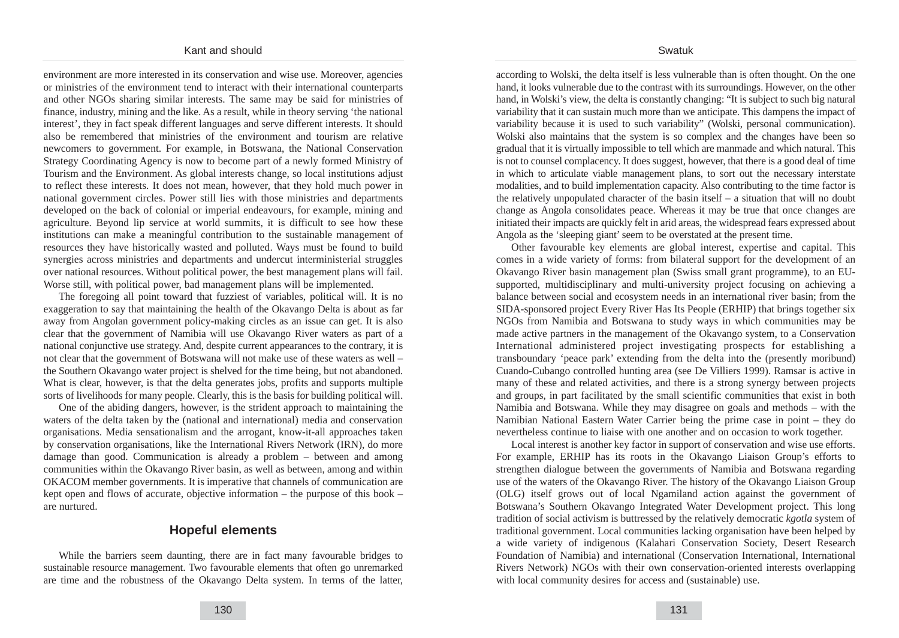environment are more interested in its conservation and wise use. Moreover, agencies or ministries of the environment tend to interact with their international counterparts and other NGOs sharing similar interests. The same may be said for ministries of finance, industry, mining and the like. As a result, while in theory serving 'the national interest', they in fact speak different languages and serve different interests. It should also be remembered that ministries of the environment and tourism are relative newcomers to government. For example, in Botswana, the National Conservation Strategy Coordinating Agency is now to become part of a newly formed Ministry of Tourism and the Environment. As global interests change, so local institutions adjust to reflect these interests. It does not mean, however, that they hold much power in national government circles. Power still lies with those ministries and departments developed on the back of colonial or imperial endeavours, for example, mining and agriculture. Beyond lip service at world summits, it is difficult to see how these institutions can make a meaningful contribution to the sustainable management of resources they have historically wasted and polluted. Ways must be found to build synergies across ministries and departments and undercut interministerial struggles over national resources. Without political power, the best management plans will fail. Worse still, with political power, bad management plans will be implemented.

The foregoing all point toward that fuzziest of variables, political will. It is no exaggeration to say that maintaining the health of the Okavango Delta is about as far away from Angolan government policy-making circles as an issue can get. It is also clear that the government of Namibia will use Okavango River waters as part of a national conjunctive use strategy. And, despite current appearances to the contrary, it is not clear that the government of Botswana will not make use of these waters as well – the Southern Okavango water project is shelved for the time being, but not abandoned. What is clear, however, is that the delta generates jobs, profits and supports multiple sorts of livelihoods for many people. Clearly, this is the basis for building political will.

One of the abiding dangers, however, is the strident approach to maintaining the waters of the delta taken by the (national and international) media and conservation organisations. Media sensationalism and the arrogant, know-it-all approaches taken by conservation organisations, like the International Rivers Network (IRN), do more damage than good. Communication is already a problem – between and among communities within the Okavango River basin, as well as between, among and within OKACOM member governments. It is imperative that channels of communication are kept open and flows of accurate, objective information – the purpose of this book – are nurtured.

## **Hopeful elements**

While the barriers seem daunting, there are in fact many favourable bridges to sustainable resource management. Two favourable elements that often go unremarked are time and the robustness of the Okavango Delta system. In terms of the latter,

130

according to Wolski, the delta itself is less vulnerable than is often thought. On the one hand, it looks vulnerable due to the contrast with its surroundings. However, on the other hand, in Wolski's view, the delta is constantly changing: "It is subject to such big natural variability that it can sustain much more than we anticipate. This dampens the impact of variability because it is used to such variability" (Wolski, personal communication). Wolski also maintains that the system is so complex and the changes have been so gradual that it is virtually impossible to tell which are manmade and which natural. This is not to counsel complacency. It does suggest, however, that there is a good deal of time in which to articulate viable management plans, to sort out the necessary interstate modalities, and to build implementation capacity. Also contributing to the time factor is the relatively unpopulated character of the basin itself – a situation that will no doubt change as Angola consolidates peace. Whereas it may be true that once changes are initiated their impacts are quickly felt in arid areas, the widespread fears expressed about Angola as the 'sleeping giant' seem to be overstated at the present time.

Other favourable key elements are global interest, expertise and capital. This comes in a wide variety of forms: from bilateral support for the development of an Okavango River basin management plan (Swiss small grant programme), to an EUsupported, multidisciplinary and multi-university project focusing on achieving a balance between social and ecosystem needs in an international river basin; from the SIDA-sponsored project Every River Has Its People (ERHIP) that brings together six NGOs from Namibia and Botswana to study ways in which communities may be made active partners in the management of the Okavango system, to a Conservation International administered project investigating prospects for establishing a transboundary 'peace park' extending from the delta into the (presently moribund) Cuando-Cubango controlled hunting area (see De Villiers 1999). Ramsar is active in many of these and related activities, and there is a strong synergy between projects and groups, in part facilitated by the small scientific communities that exist in both Namibia and Botswana. While they may disagree on goals and methods – with the Namibian National Eastern Water Carrier being the prime case in point – they do nevertheless continue to liaise with one another and on occasion to work together.

Local interest is another key factor in support of conservation and wise use efforts. For example, ERHIP has its roots in the Okavango Liaison Group's efforts to strengthen dialogue between the governments of Namibia and Botswana regarding use of the waters of the Okavango River. The history of the Okavango Liaison Group (OLG) itself grows out of local Ngamiland action against the government of Botswana's Southern Okavango Integrated Water Development project. This long tradition of social activism is buttressed by the relatively democratic *kgotla* system of traditional government. Local communities lacking organisation have been helped by a wide variety of indigenous (Kalahari Conservation Society, Desert Research Foundation of Namibia) and international (Conservation International, International Rivers Network) NGOs with their own conservation-oriented interests overlapping with local community desires for access and (sustainable) use.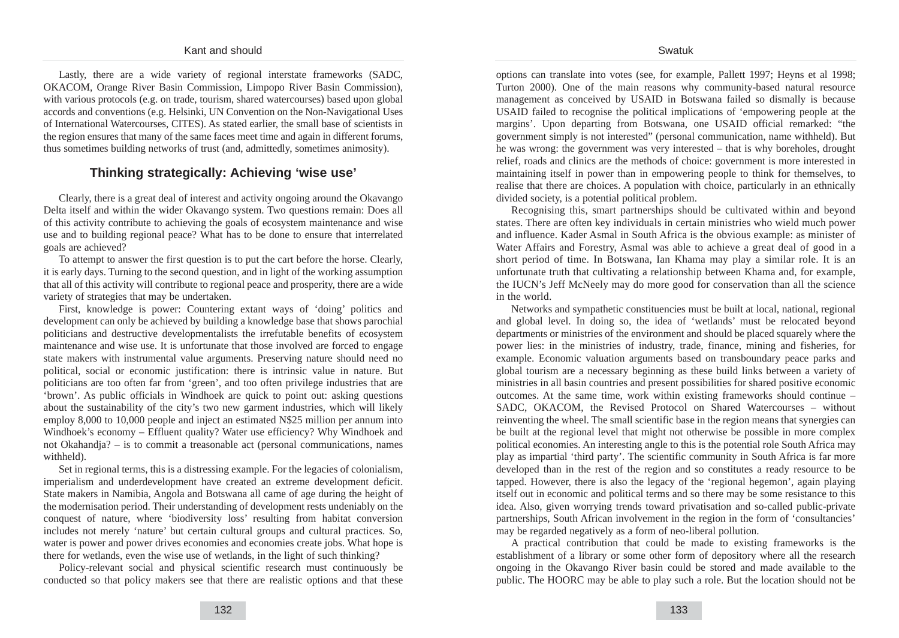Lastly, there are a wide variety of regional interstate frameworks (SADC, OKACOM, Orange River Basin Commission, Limpopo River Basin Commission), with various protocols (e.g. on trade, tourism, shared watercourses) based upon global accords and conventions (e.g. Helsinki, UN Convention on the Non-Navigational Uses of International Watercourses, CITES). As stated earlier, the small base of scientists in the region ensures that many of the same faces meet time and again in different forums, thus sometimes building networks of trust (and, admittedly, sometimes animosity).

## **Thinking strategically: Achieving 'wise use'**

Clearly, there is a great deal of interest and activity ongoing around the Okavango Delta itself and within the wider Okavango system. Two questions remain: Does all of this activity contribute to achieving the goals of ecosystem maintenance and wise use and to building regional peace? What has to be done to ensure that interrelated goals are achieved?

To attempt to answer the first question is to put the cart before the horse. Clearly, it is early days. Turning to the second question, and in light of the working assumption that all of this activity will contribute to regional peace and prosperity, there are a wide variety of strategies that may be undertaken.

First, knowledge is power: Countering extant ways of 'doing' politics and development can only be achieved by building a knowledge base that shows parochial politicians and destructive developmentalists the irrefutable benefits of ecosystem maintenance and wise use. It is unfortunate that those involved are forced to engage state makers with instrumental value arguments. Preserving nature should need no political, social or economic justification: there is intrinsic value in nature. But politicians are too often far from 'green', and too often privilege industries that are 'brown'. As public officials in Windhoek are quick to point out: asking questions about the sustainability of the city's two new garment industries, which will likely employ 8,000 to 10,000 people and inject an estimated N\$25 million per annum into Windhoek's economy – Effluent quality? Water use efficiency? Why Windhoek and not Okahandja? – is to commit a treasonable act (personal communications, names withheld).

Set in regional terms, this is a distressing example. For the legacies of colonialism, imperialism and underdevelopment have created an extreme development deficit. State makers in Namibia, Angola and Botswana all came of age during the height of the modernisation period. Their understanding of development rests undeniably on the conquest of nature, where 'biodiversity loss' resulting from habitat conversion includes not merely 'nature' but certain cultural groups and cultural practices. So, water is power and power drives economies and economies create jobs. What hope is there for wetlands, even the wise use of wetlands, in the light of such thinking?

Policy-relevant social and physical scientific research must continuously be conducted so that policy makers see that there are realistic options and that these options can translate into votes (see, for example, Pallett 1997; Heyns et al 1998; Turton 2000). One of the main reasons why community-based natural resource management as conceived by USAID in Botswana failed so dismally is because USAID failed to recognise the political implications of 'empowering people at the margins'. Upon departing from Botswana, one USAID official remarked: "the government simply is not interested" (personal communication, name withheld). But he was wrong: the government was very interested – that is why boreholes, drought relief, roads and clinics are the methods of choice: government is more interested in maintaining itself in power than in empowering people to think for themselves, to realise that there are choices. A population with choice, particularly in an ethnically divided society, is a potential political problem.

Recognising this, smart partnerships should be cultivated within and beyond states. There are often key individuals in certain ministries who wield much power and influence. Kader Asmal in South Africa is the obvious example: as minister of Water Affairs and Forestry, Asmal was able to achieve a great deal of good in a short period of time. In Botswana, Ian Khama may play a similar role. It is an unfortunate truth that cultivating a relationship between Khama and, for example, the IUCN's Jeff McNeely may do more good for conservation than all the science in the world.

Networks and sympathetic constituencies must be built at local, national, regional and global level. In doing so, the idea of 'wetlands' must be relocated beyond departments or ministries of the environment and should be placed squarely where the power lies: in the ministries of industry, trade, finance, mining and fisheries, for example. Economic valuation arguments based on transboundary peace parks and global tourism are a necessary beginning as these build links between a variety of ministries in all basin countries and present possibilities for shared positive economic outcomes. At the same time, work within existing frameworks should continue – SADC, OKACOM, the Revised Protocol on Shared Watercourses – without reinventing the wheel. The small scientific base in the region means that synergies can be built at the regional level that might not otherwise be possible in more complex political economies. An interesting angle to this is the potential role South Africa may play as impartial 'third party'. The scientific community in South Africa is far more developed than in the rest of the region and so constitutes a ready resource to be tapped. However, there is also the legacy of the 'regional hegemon', again playing itself out in economic and political terms and so there may be some resistance to this idea. Also, given worrying trends toward privatisation and so-called public-private partnerships, South African involvement in the region in the form of 'consultancies' may be regarded negatively as a form of neo-liberal pollution.

A practical contribution that could be made to existing frameworks is the establishment of a library or some other form of depository where all the research ongoing in the Okavango River basin could be stored and made available to the public. The HOORC may be able to play such a role. But the location should not be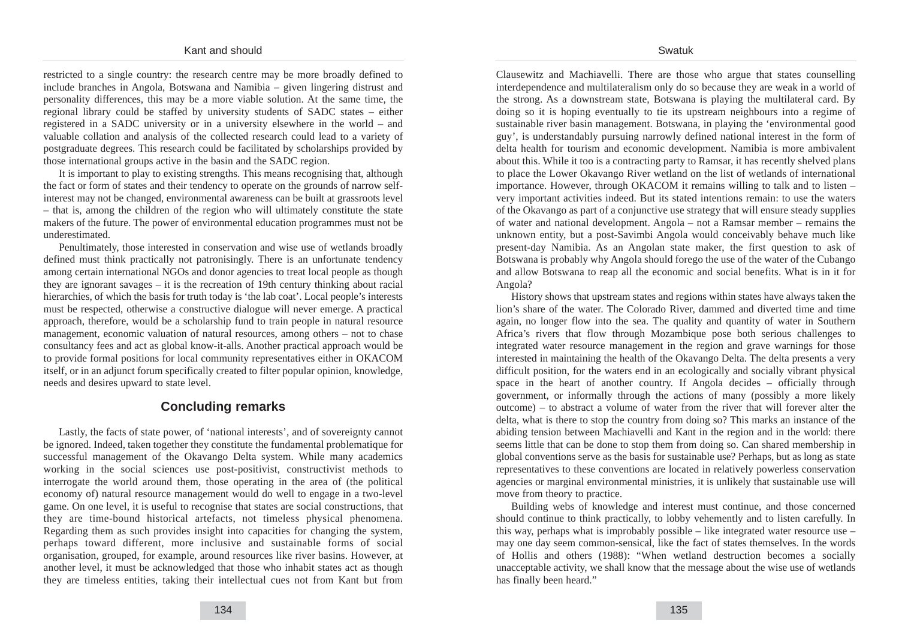restricted to a single country: the research centre may be more broadly defined to include branches in Angola, Botswana and Namibia – given lingering distrust and personality differences, this may be a more viable solution. At the same time, the regional library could be staffed by university students of SADC states – either registered in a SADC university or in a university elsewhere in the world – and valuable collation and analysis of the collected research could lead to a variety of postgraduate degrees. This research could be facilitated by scholarships provided by those international groups active in the basin and the SADC region.

It is important to play to existing strengths. This means recognising that, although the fact or form of states and their tendency to operate on the grounds of narrow selfinterest may not be changed, environmental awareness can be built at grassroots level – that is, among the children of the region who will ultimately constitute the state makers of the future. The power of environmental education programmes must not be underestimated.

Penultimately, those interested in conservation and wise use of wetlands broadly defined must think practically not patronisingly. There is an unfortunate tendency among certain international NGOs and donor agencies to treat local people as though they are ignorant savages – it is the recreation of 19th century thinking about racial hierarchies, of which the basis for truth today is 'the lab coat'. Local people's interests must be respected, otherwise a constructive dialogue will never emerge. A practical approach, therefore, would be a scholarship fund to train people in natural resource management, economic valuation of natural resources, among others – not to chase consultancy fees and act as global know-it-alls. Another practical approach would be to provide formal positions for local community representatives either in OKACOM itself, or in an adjunct forum specifically created to filter popular opinion, knowledge, needs and desires upward to state level.

### **Concluding remarks**

Lastly, the facts of state power, of 'national interests', and of sovereignty cannot be ignored. Indeed, taken together they constitute the fundamental problematique for successful management of the Okavango Delta system. While many academics working in the social sciences use post-positivist, constructivist methods to interrogate the world around them, those operating in the area of (the political economy of) natural resource management would do well to engage in a two-level game. On one level, it is useful to recognise that states are social constructions, that they are time-bound historical artefacts, not timeless physical phenomena. Regarding them as such provides insight into capacities for changing the system, perhaps toward different, more inclusive and sustainable forms of social organisation, grouped, for example, around resources like river basins. However, at another level, it must be acknowledged that those who inhabit states act as though they are timeless entities, taking their intellectual cues not from Kant but from

Clausewitz and Machiavelli. There are those who argue that states counselling interdependence and multilateralism only do so because they are weak in a world of the strong. As a downstream state, Botswana is playing the multilateral card. By doing so it is hoping eventually to tie its upstream neighbours into a regime of sustainable river basin management. Botswana, in playing the 'environmental good guy', is understandably pursuing narrowly defined national interest in the form of delta health for tourism and economic development. Namibia is more ambivalent about this. While it too is a contracting party to Ramsar, it has recently shelved plans to place the Lower Okavango River wetland on the list of wetlands of international importance. However, through OKACOM it remains willing to talk and to listen – very important activities indeed. But its stated intentions remain: to use the waters of the Okavango as part of a conjunctive use strategy that will ensure steady supplies of water and national development. Angola – not a Ramsar member – remains the unknown entity, but a post-Savimbi Angola would conceivably behave much like present-day Namibia. As an Angolan state maker, the first question to ask of Botswana is probably why Angola should forego the use of the water of the Cubango and allow Botswana to reap all the economic and social benefits. What is in it for Angola?

History shows that upstream states and regions within states have always taken the lion's share of the water. The Colorado River, dammed and diverted time and time again, no longer flow into the sea. The quality and quantity of water in Southern Africa's rivers that flow through Mozambique pose both serious challenges to integrated water resource management in the region and grave warnings for those interested in maintaining the health of the Okavango Delta. The delta presents a very difficult position, for the waters end in an ecologically and socially vibrant physical space in the heart of another country. If Angola decides – officially through government, or informally through the actions of many (possibly a more likely outcome) – to abstract a volume of water from the river that will forever alter the delta, what is there to stop the country from doing so? This marks an instance of the abiding tension between Machiavelli and Kant in the region and in the world: there seems little that can be done to stop them from doing so. Can shared membership in global conventions serve as the basis for sustainable use? Perhaps, but as long as state representatives to these conventions are located in relatively powerless conservation agencies or marginal environmental ministries, it is unlikely that sustainable use will move from theory to practice.

Building webs of knowledge and interest must continue, and those concerned should continue to think practically, to lobby vehemently and to listen carefully. In this way, perhaps what is improbably possible – like integrated water resource use – may one day seem common-sensical, like the fact of states themselves. In the words of Hollis and others (1988): "When wetland destruction becomes a socially unacceptable activity, we shall know that the message about the wise use of wetlands has finally been heard."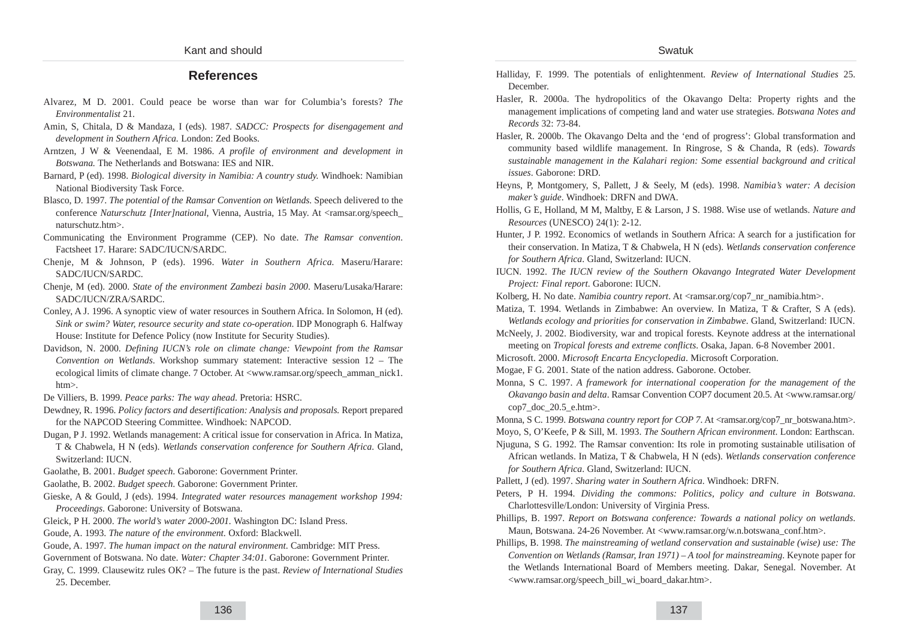#### Swatuk

## **References**

- Alvarez, M D. 2001. Could peace be worse than war for Columbia's forests? *The Environmentalist* 21.
- Amin, S, Chitala, D & Mandaza, I (eds). 1987. *SADCC: Prospects for disengagement and development in Southern Africa.* London: Zed Books.
- Arntzen, J W & Veenendaal, E M. 1986. *A profile of environment and development in Botswana.* The Netherlands and Botswana: IES and NIR.
- Barnard, P (ed). 1998. *Biological diversity in Namibia: A country study.* Windhoek: Namibian National Biodiversity Task Force.
- Blasco, D. 1997. *The potential of the Ramsar Convention on Wetlands.* Speech delivered to the conference *Naturschutz [Inter]national*, Vienna, Austria, 15 May. At <ramsar.org/speech\_ naturschutz.htm>.
- Communicating the Environment Programme (CEP). No date. *The Ramsar convention*. Factsheet 17. Harare: SADC/IUCN/SARDC.
- Chenje, M & Johnson, P (eds). 1996. *Water in Southern Africa.* Maseru/Harare: SADC/IUCN/SARDC.
- Chenje, M (ed). 2000. *State of the environment Zambezi basin 2000*. Maseru/Lusaka/Harare: SADC/IUCN/ZRA/SARDC.
- Conley, A J. 1996. A synoptic view of water resources in Southern Africa. In Solomon, H (ed). *Sink or swim? Water, resource security and state co-operation*. IDP Monograph 6. Halfway House: Institute for Defence Policy (now Institute for Security Studies).
- Davidson, N. 2000. *Defining IUCN's role on climate change: Viewpoint from the Ramsar Convention on Wetlands*. Workshop summary statement: Interactive session 12 – The ecological limits of climate change. 7 October. At <www.ramsar.org/speech\_amman\_nick1. htm>.
- De Villiers, B. 1999. *Peace parks: The way ahead*. Pretoria: HSRC.
- Dewdney, R. 1996. *Policy factors and desertification: Analysis and proposals.* Report prepared for the NAPCOD Steering Committee. Windhoek: NAPCOD.
- Dugan, P J. 1992. Wetlands management: A critical issue for conservation in Africa. In Matiza, T & Chabwela, H N (eds). *Wetlands conservation conference for Southern Africa*. Gland, Switzerland: IUCN.
- Gaolathe, B. 2001. *Budget speech*. Gaborone: Government Printer.
- Gaolathe, B. 2002. *Budget speech*. Gaborone: Government Printer.
- Gieske, A & Gould, J (eds). 1994. *Integrated water resources management workshop 1994: Proceedings*. Gaborone: University of Botswana.
- Gleick, P H. 2000. *The world's water 2000-2001.* Washington DC: Island Press.
- Goude, A. 1993. *The nature of the environment*. Oxford: Blackwell.
- Goude, A. 1997. *The human impact on the natural environment*. Cambridge: MIT Press.
- Government of Botswana. No date. *Water: Chapter 34:01*. Gaborone: Government Printer.
- Gray, C. 1999. Clausewitz rules OK? The future is the past. *Review of International Studies* 25. December.
- Halliday, F. 1999. The potentials of enlightenment. *Review of International Studies* 25. December.
- Hasler, R. 2000a. The hydropolitics of the Okavango Delta: Property rights and the management implications of competing land and water use strategies. *Botswana Notes and Records* 32: 73-84.
- Hasler, R. 2000b. The Okavango Delta and the 'end of progress': Global transformation and community based wildlife management. In Ringrose, S & Chanda, R (eds). *Towards sustainable management in the Kalahari region: Some essential background and critical issues*. Gaborone: DRD.
- Heyns, P, Montgomery, S, Pallett, J & Seely, M (eds). 1998. *Namibia's water: A decision maker's guide*. Windhoek: DRFN and DWA.
- Hollis, G E, Holland, M M, Maltby, E & Larson, J S. 1988. Wise use of wetlands. *Nature and Resources* (UNESCO) 24(1): 2-12.
- Hunter, J P. 1992. Economics of wetlands in Southern Africa: A search for a justification for their conservation. In Matiza, T & Chabwela, H N (eds). *Wetlands conservation conference for Southern Africa*. Gland, Switzerland: IUCN.
- IUCN. 1992. *The IUCN review of the Southern Okavango Integrated Water Development Project: Final report*. Gaborone: IUCN.
- Kolberg, H. No date. *Namibia country report*. At <ramsar.org/cop7\_nr\_namibia.htm>.
- Matiza, T. 1994. Wetlands in Zimbabwe: An overview. In Matiza, T & Crafter, S A (eds). *Wetlands ecology and priorities for conservation in Zimbabwe*. Gland, Switzerland: IUCN.
- McNeely, J. 2002. Biodiversity, war and tropical forests. Keynote address at the international meeting on *Tropical forests and extreme conflicts*. Osaka, Japan. 6-8 November 2001.
- Microsoft. 2000. *Microsoft Encarta Encyclopedia*. Microsoft Corporation.
- Mogae, F G. 2001. State of the nation address. Gaborone. October.
- Monna, S C. 1997. *A framework for international cooperation for the management of the Okavango basin and delta*. Ramsar Convention COP7 document 20.5. At <www.ramsar.org/ cop7\_doc\_20.5\_e.htm>.

Monna, S C. 1999. *Botswana country report for COP 7*. At <ramsar.org/cop7\_nr\_botswana.htm>. Moyo, S, O'Keefe, P & Sill, M. 1993. *The Southern African environment*. London: Earthscan.

Njuguna, S G. 1992. The Ramsar convention: Its role in promoting sustainable utilisation of African wetlands. In Matiza, T & Chabwela, H N (eds). *Wetlands conservation conference*

*for Southern Africa*. Gland, Switzerland: IUCN.

Pallett, J (ed). 1997. *Sharing water in Southern Africa*. Windhoek: DRFN.

- Peters, P H. 1994. *Dividing the commons: Politics, policy and culture in Botswana*. Charlottesville/London: University of Virginia Press.
- Phillips, B. 1997. *Report on Botswana conference: Towards a national policy on wetlands*. Maun, Botswana. 24-26 November. At <www.ramsar.org/w.n.botswana\_conf.htm>.
- Phillips, B. 1998. *The mainstreaming of wetland conservation and sustainable (wise) use: The Convention on Wetlands (Ramsar, Iran 1971) – A tool for mainstreaming*. Keynote paper for the Wetlands International Board of Members meeting. Dakar, Senegal. November. At <www.ramsar.org/speech\_bill\_wi\_board\_dakar.htm>.